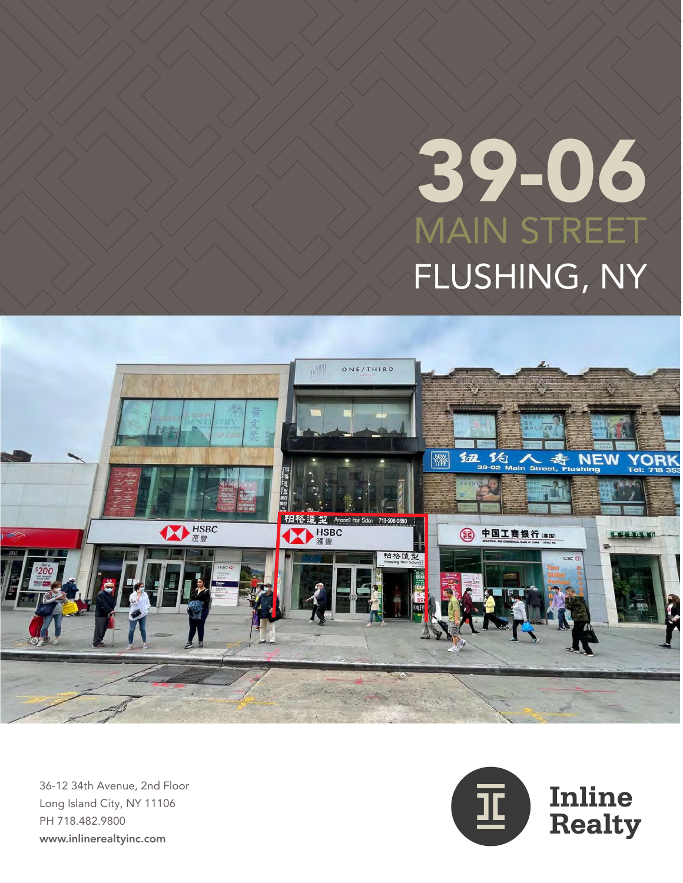# MAIN STREET FLUSHING, NY 39-06



36-12 34th Avenue, 2nd Floor Long Island City, NY 11106 PH 718.482.9800 www.inlinerealtyinc.com

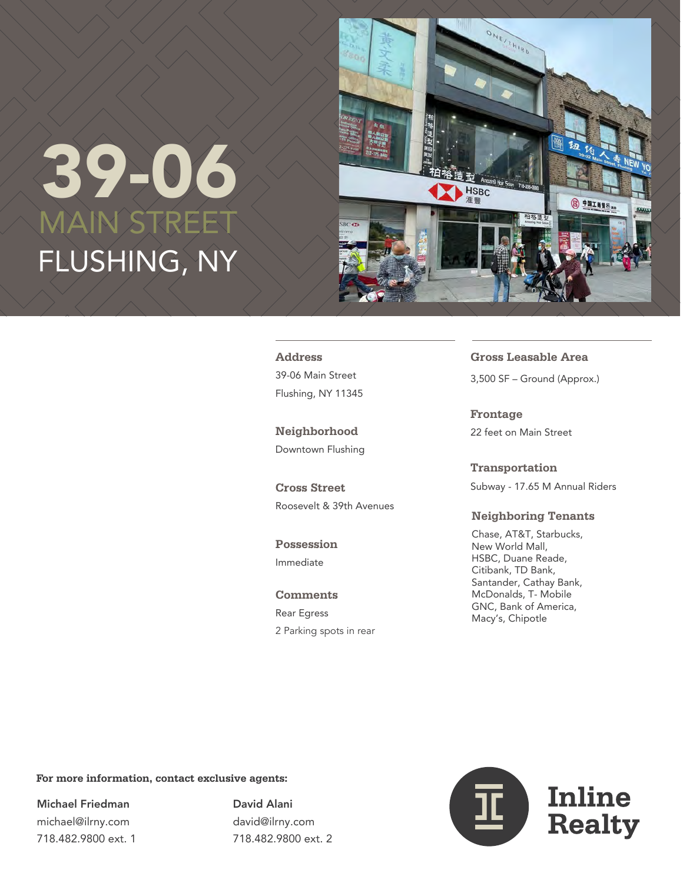## MAIN STREET FLUSHING, NY 39-06



**Address** 39-06 Main Street Flushing, NY 11345

**Neighborhood** Downtown Flushing

**Cross Street** Roosevelt & 39th Avenues

**Possession** Immediate

**Comments** Rear Egress 2 Parking spots in rear **Gross Leasable Area** 3,500 SF – Ground (Approx.)

**Frontage** 22 feet on Main Street

**Transportation** Subway - 17.65 M Annual Riders

#### **Neighboring Tenants**

Chase, AT&T, Starbucks, New World Mall, HSBC, Duane Reade, Citibank, TD Bank, Santander, Cathay Bank, McDonalds, T- Mobile GNC, Bank of America, Macy's, Chipotle

#### **For more information, contact exclusive agents:**

Michael Friedman michael@ilrny.com 718.482.9800 ext. 1 David Alani david@ilrny.com 718.482.9800 ext. 2